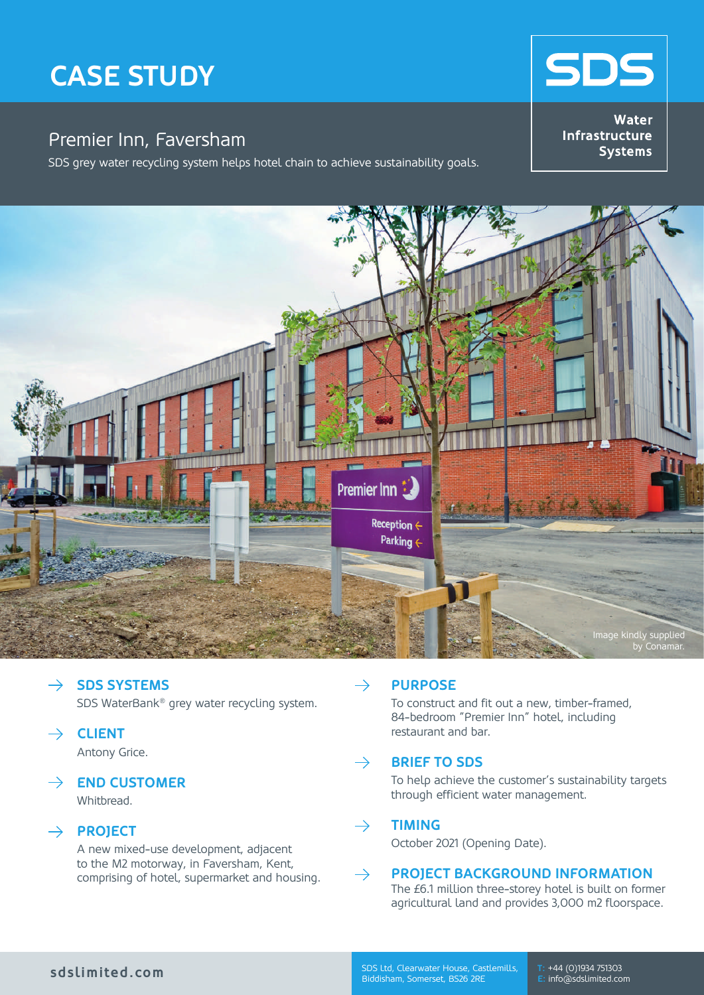# **CaSe StuDy**

# Premier Inn, Faversham

SDS grey water recycling system helps hotel chain to achieve sustainability goals.

**Water** Infrastructure **Systems** 

**SDS** 



#### $\rightarrow$ **SDS SYSTEMS** SDS WaterBank® grey water recycling system.

**CLIENT**

Antony Grice.

# $\rightarrow$  **END CUSTOMER**

Whithread

# $\rightarrow$  **PROJECT**

A new mixed-use development, adjacent to the M2 motorway, in Faversham, Kent, comprising of hotel, supermarket and housing.

#### $\rightarrow$ **PURPOSE**

To construct and fit out a new, timber-framed, 84-bedroom "Premier Inn" hotel, including restaurant and bar.

#### **BRIEF TO SDS**  $\rightarrow$

To help achieve the customer's sustainability targets through efficient water management.

#### $\rightarrow$ **TIMING**

October 2021 (Opening Date).

#### **PROJECT BACKGROUND INFORMATION**  $\rightarrow$

The £6.1 million three-storey hotel is built on former agricultural land and provides 3,000 m2 floorspace.